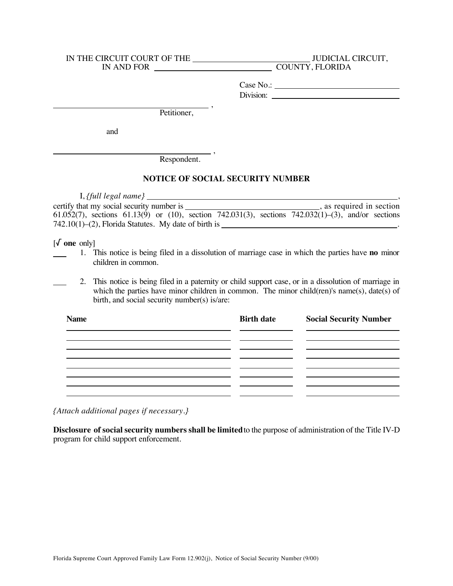## IN THE CIRCUIT COURT OF THE JUDICIAL CIRCUIT,

IN AND FOR COUNTY, FLORIDA

Case No.: Division:

 , Petitioner,

and

 , Respondent.

## **NOTICE OF SOCIAL SECURITY NUMBER**

I, *{full legal name}* , certify that my social security number is , as required in section 61.052(7), sections 61.13(9) or (10), section 742.031(3), sections 742.032(1)–(3), and/or sections  $742.10(1)$ –(2), Florida Statutes. My date of birth is

[/ **one** only]

1. This notice is being filed in a dissolution of marriage case in which the parties have **no** minor children in common.

2. This notice is being filed in a paternity or child support case, or in a dissolution of marriage in which the parties have minor children in common. The minor child(ren)'s name(s), date(s) of birth, and social security number(s) is/are:

| <b>Name</b> | <b>Birth date</b> | <b>Social Security Number</b> |
|-------------|-------------------|-------------------------------|
|             |                   |                               |
|             |                   |                               |
|             |                   |                               |
|             |                   |                               |

*{Attach additional pages if necessary.}*

**Disclosure of social security numbers shall be limited** to the purpose of administration of the Title IV-D program for child support enforcement.